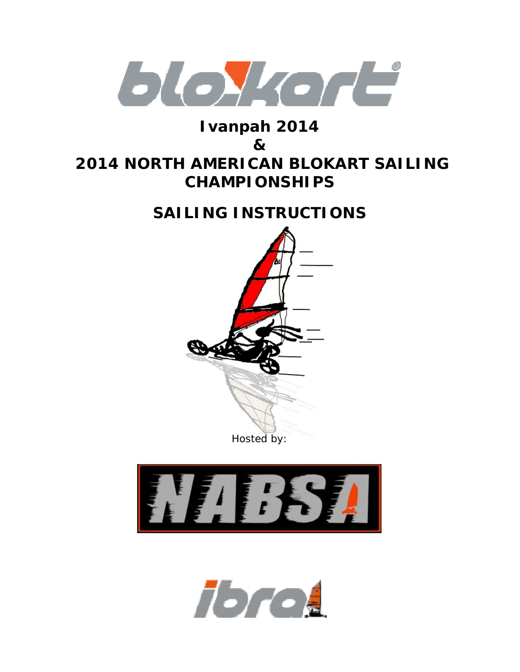

# **Ivanpah 2014**

# **&**

# **2014 NORTH AMERICAN BLOKART SAILING CHAMPIONSHIPS**

# **SAILING INSTRUCTIONS**





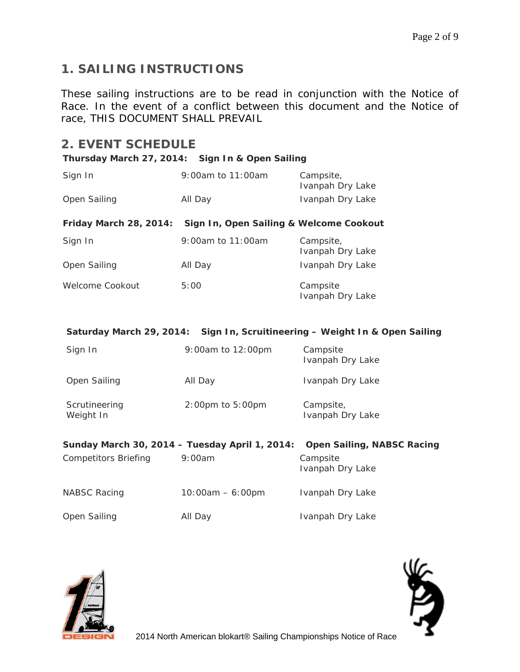# **1. SAILING INSTRUCTIONS**

These sailing instructions are to be read in conjunction with the Notice of Race. In the event of a conflict between this document and the Notice of race, THIS DOCUMENT SHALL PREVAIL

# **2. EVENT SCHEDULE**

#### **Thursday March 27, 2014: Sign In & Open Sailing**

| Sign In                                                                             | 9:00am to 11:00am                       | Campsite,<br>Ivanpah Dry Lake |  |  |
|-------------------------------------------------------------------------------------|-----------------------------------------|-------------------------------|--|--|
| Open Sailing                                                                        | All Day                                 | Ivanpah Dry Lake              |  |  |
| Friday March 28, 2014:                                                              | Sign In, Open Sailing & Welcome Cookout |                               |  |  |
| Sign In                                                                             | 9:00am to 11:00am                       | Campsite,<br>Ivanpah Dry Lake |  |  |
| Open Sailing                                                                        | All Day                                 | Ivanpah Dry Lake              |  |  |
| Welcome Cookout                                                                     | 5:00                                    | Campsite<br>Ivanpah Dry Lake  |  |  |
| Saturday March 29, 2014: Sign In, Scruitineering - Weight In & Open Sailing         |                                         |                               |  |  |
| Sign In                                                                             | 9:00am to 12:00pm                       | Campsite<br>Ivanpah Dry Lake  |  |  |
| Open Sailing                                                                        | All Day                                 | Ivanpah Dry Lake              |  |  |
| Scrutineering<br>Weight In                                                          | 2:00pm to 5:00pm                        | Campsite,<br>Ivanpah Dry Lake |  |  |
| Sunday March 30, 2014 - Tuesday April 1, 2014:<br><b>Open Sailing, NABSC Racing</b> |                                         |                               |  |  |
| <b>Competitors Briefing</b>                                                         | 9:00am                                  | Campsite<br>Ivanpah Dry Lake  |  |  |
| <b>NABSC Racing</b>                                                                 | $10:00am - 6:00pm$                      | Ivanpah Dry Lake              |  |  |
| Open Sailing                                                                        | All Day                                 | Ivanpah Dry Lake              |  |  |



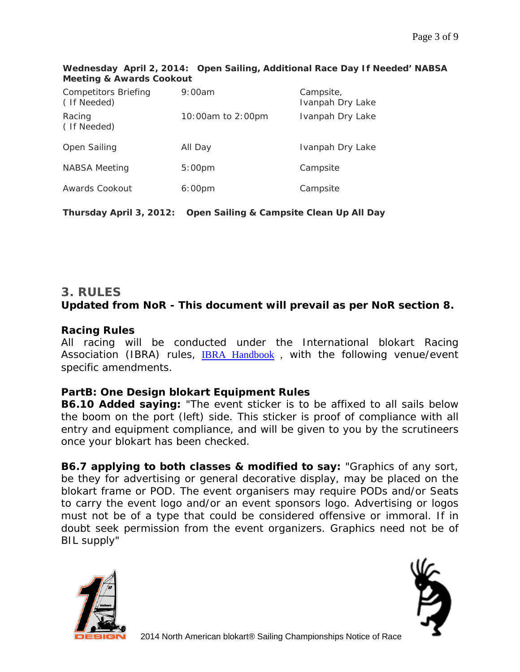| Competitors Briefing<br>(If Needed) | 9:00am             | Campsite,<br>Ivanpah Dry Lake |
|-------------------------------------|--------------------|-------------------------------|
| Racing<br>(If Needed)               | 10:00am to 2:00pm  | Ivanpah Dry Lake              |
| Open Sailing                        | All Day            | Ivanpah Dry Lake              |
| NABSA Meeting                       | 5:00 <sub>pm</sub> | Campsite                      |
| Awards Cookout                      | 6:00 <sub>pm</sub> | Campsite                      |

**Wednesday April 2, 2014: Open Sailing, Additional Race Day If Needed' NABSA Meeting & Awards Cookout** 

**Thursday April 3, 2012: Open Sailing & Campsite Clean Up All Day** 

### **3. RULES**  *Updated from NoR - This document will prevail as per NoR section 8.*

## *Racing Rules*

All racing will be conducted under the International blokart Racing Association (IBRA) rules, IBRA Handbook, with the following venue/event specific amendments.

### *PartB: One Design blokart Equipment Rules*

**B6.10 Added saying:** "The event sticker is to be affixed to all sails below the boom on the port (left) side. This sticker is proof of compliance with all entry and equipment compliance, and will be given to you by the scrutineers once your blokart has been checked.

**B6.7 applying to both classes & modified to say:** "Graphics of any sort, be they for advertising or general decorative display, may be placed on the blokart frame or POD. The event organisers may require PODs and/or Seats to carry the event logo and/or an event sponsors logo. Advertising or logos must not be of a type that could be considered offensive or immoral. If in doubt seek permission from the event organizers. Graphics need not be of BIL supply"



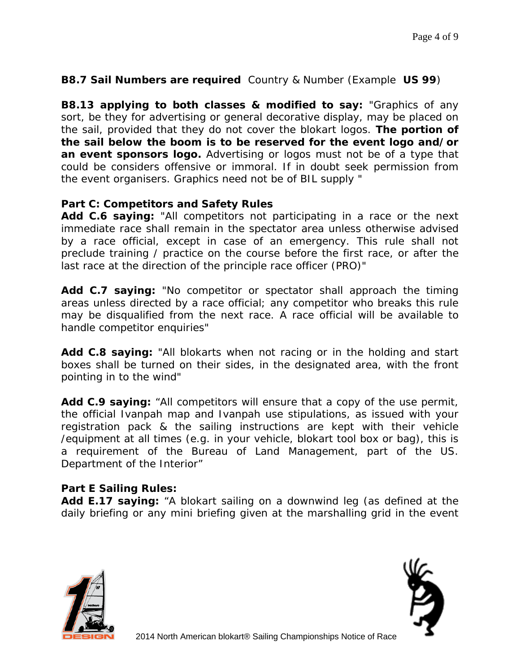#### **B8.7 Sail Numbers are required** Country & Number (Example **US 99**)

**B8.13 applying to both classes & modified to say:** "Graphics of any sort, be they for advertising or general decorative display, may be placed on the sail, provided that they do not cover the blokart logos. **The portion of the sail below the boom is to be reserved for the event logo and/or an event sponsors logo.** Advertising or logos must not be of a type that could be considers offensive or immoral. If in doubt seek permission from the event organisers. Graphics need not be of BIL supply "

#### *Part C: Competitors and Safety Rules*

**Add C.6 saying:** "All competitors not participating in a race or the next immediate race shall remain in the spectator area unless otherwise advised by a race official, except in case of an emergency. This rule shall not preclude training / practice on the course before the first race, or after the last race at the direction of the principle race officer (PRO)"

**Add C.7 saying:** "No competitor or spectator shall approach the timing areas unless directed by a race official; any competitor who breaks this rule may be disqualified from the next race. A race official will be available to handle competitor enquiries"

**Add C.8 saying:** "All blokarts when not racing or in the holding and start boxes shall be turned on their sides, in the designated area, with the front pointing in to the wind"

**Add C.9 saying:** "All competitors will ensure that a copy of the use permit, the official Ivanpah map and Ivanpah use stipulations, as issued with your registration pack & the sailing instructions are kept with their vehicle /equipment at all times (e.g. in your vehicle, blokart tool box or bag), this is a requirement of the Bureau of Land Management, part of the US. Department of the Interior"

#### *Part E Sailing Rules:*

**Add E.17 saying:** "A blokart sailing on a downwind leg (as defined at the daily briefing or any mini briefing given at the marshalling grid in the event



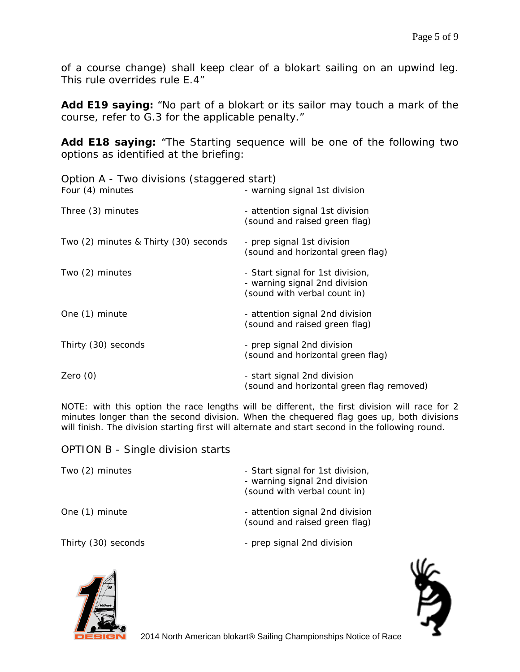of a course change) shall keep clear of a blokart sailing on an upwind leg. This rule overrides rule E.4"

**Add E19 saying:** "No part of a blokart or its sailor may touch a mark of the course, refer to G.3 for the applicable penalty."

**Add E18 saying:** "The Starting sequence will be one of the following two options as identified at the briefing:

| Option A - Two divisions (staggered start) |                                                                                                   |
|--------------------------------------------|---------------------------------------------------------------------------------------------------|
| Four (4) minutes                           | - warning signal 1st division                                                                     |
| Three (3) minutes                          | - attention signal 1st division<br>(sound and raised green flag)                                  |
| Two (2) minutes & Thirty (30) seconds      | - prep signal 1st division<br>(sound and horizontal green flag)                                   |
| Two (2) minutes                            | - Start signal for 1st division,<br>- warning signal 2nd division<br>(sound with verbal count in) |
| One (1) minute                             | - attention signal 2nd division<br>(sound and raised green flag)                                  |
| Thirty (30) seconds                        | - prep signal 2nd division<br>(sound and horizontal green flag)                                   |
| Zero $(0)$                                 | - start signal 2nd division<br>(sound and horizontal green flag removed)                          |

NOTE: with this option the race lengths will be different, the first division will race for 2 minutes longer than the second division. When the chequered flag goes up, both divisions will finish. The division starting first will alternate and start second in the following round.

#### OPTION B - Single division starts

| Two (2) minutes     | - Start signal for 1st division,<br>- warning signal 2nd division<br>(sound with verbal count in) |
|---------------------|---------------------------------------------------------------------------------------------------|
| One (1) minute      | - attention signal 2nd division<br>(sound and raised green flag)                                  |
| Thirty (30) seconds | - prep signal 2nd division                                                                        |



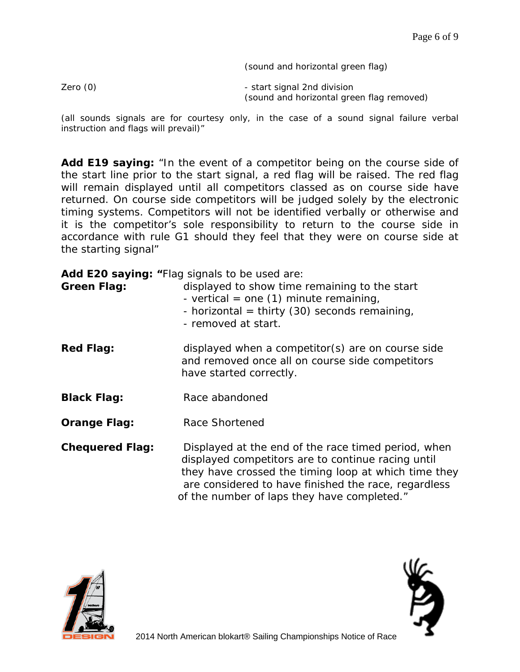(sound and horizontal green flag)

Zero (0)  $\qquad \qquad$  - start signal 2nd division (sound and horizontal green flag removed)

(all sounds signals are for courtesy only, in the case of a sound signal failure verbal instruction and flags will prevail)"

**Add E19 saying:** "In the event of a competitor being on the course side of the start line prior to the start signal, a red flag will be raised. The red flag will remain displayed until all competitors classed as on course side have returned. On course side competitors will be judged solely by the electronic timing systems. Competitors will not be identified verbally or otherwise and it is the competitor's sole responsibility to return to the course side in accordance with rule G1 should they feel that they were on course side at the starting signal"

|                        | Add E20 saying: "Flag signals to be used are:                                                                                                                                                                                                                            |
|------------------------|--------------------------------------------------------------------------------------------------------------------------------------------------------------------------------------------------------------------------------------------------------------------------|
| <b>Green Flag:</b>     | displayed to show time remaining to the start<br>- vertical = one $(1)$ minute remaining,<br>- horizontal = thirty (30) seconds remaining,<br>- removed at start.                                                                                                        |
| <b>Red Flag:</b>       | displayed when a competitor(s) are on course side<br>and removed once all on course side competitors<br>have started correctly.                                                                                                                                          |
| <b>Black Flag:</b>     | Race abandoned                                                                                                                                                                                                                                                           |
| <b>Orange Flag:</b>    | Race Shortened                                                                                                                                                                                                                                                           |
| <b>Chequered Flag:</b> | Displayed at the end of the race timed period, when<br>displayed competitors are to continue racing until<br>they have crossed the timing loop at which time they<br>are considered to have finished the race, regardless<br>of the number of laps they have completed." |



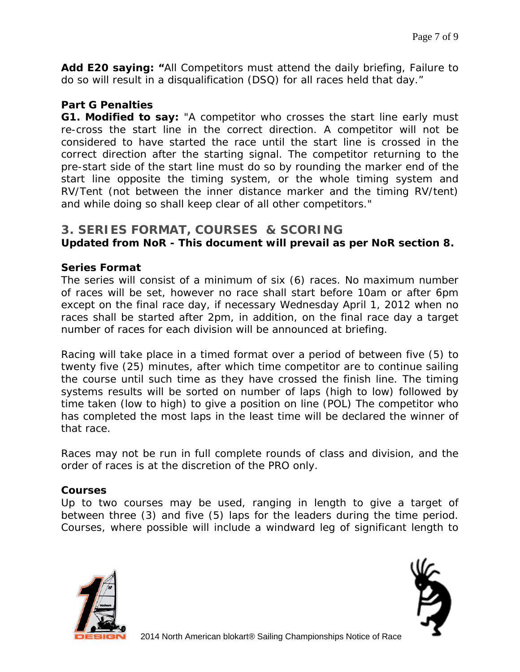**Add E20 saying: "**All Competitors must attend the daily briefing, Failure to do so will result in a disqualification (DSQ) for all races held that day."

#### *Part G Penalties*

**G1. Modified to say:** "A competitor who crosses the start line early must re-cross the start line in the correct direction. A competitor will not be considered to have started the race until the start line is crossed in the correct direction after the starting signal. The competitor returning to the pre-start side of the start line must do so by rounding the marker end of the start line opposite the timing system, or the whole timing system and RV/Tent (not between the inner distance marker and the timing RV/tent) and while doing so shall keep clear of all other competitors."

#### **3. SERIES FORMAT, COURSES & SCORING**  *Updated from NoR - This document will prevail as per NoR section 8.*

#### *Series Format*

The series will consist of a minimum of six (6) races. No maximum number of races will be set, however no race shall start before 10am or after 6pm except on the final race day, if necessary Wednesday April 1, 2012 when no races shall be started after 2pm, in addition, on the final race day a target number of races for each division will be announced at briefing.

Racing will take place in a timed format over a period of between five (5) to twenty five (25) minutes, after which time competitor are to continue sailing the course until such time as they have crossed the finish line. The timing systems results will be sorted on number of laps (high to low) followed by time taken (low to high) to give a position on line (POL) The competitor who has completed the most laps in the least time will be declared the winner of that race.

Races may not be run in full complete rounds of class and division, and the order of races is at the discretion of the PRO only.

#### *Courses*

Up to two courses may be used, ranging in length to give a target of between three (3) and five (5) laps for the leaders during the time period. Courses, where possible will include a windward leg of significant length to



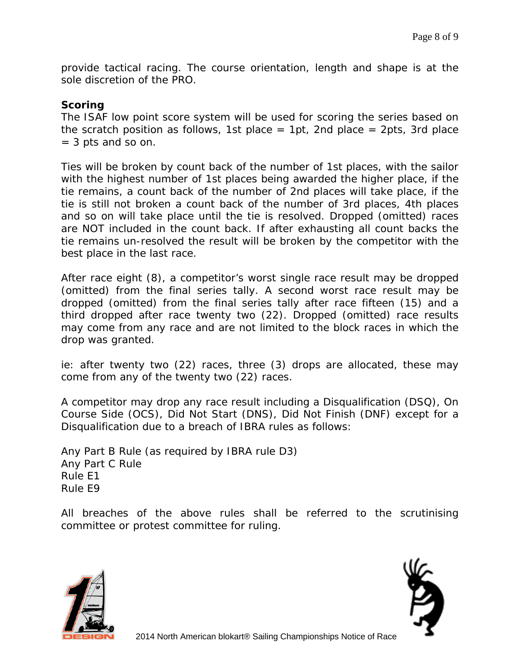provide tactical racing. The course orientation, length and shape is at the sole discretion of the PRO.

### *Scoring*

The ISAF low point score system will be used for scoring the series based on the scratch position as follows, 1st place = 1pt, 2nd place = 2pts, 3rd place = 3 pts and so on.

Ties will be broken by count back of the number of 1st places, with the sailor with the highest number of 1st places being awarded the higher place, if the tie remains, a count back of the number of 2nd places will take place, if the tie is still not broken a count back of the number of 3rd places, 4th places and so on will take place until the tie is resolved. Dropped (omitted) races are NOT included in the count back. If after exhausting all count backs the tie remains un-resolved the result will be broken by the competitor with the best place in the last race.

After race eight (8), a competitor's worst single race result may be dropped (omitted) from the final series tally. A second worst race result may be dropped (omitted) from the final series tally after race fifteen (15) and a third dropped after race twenty two (22). Dropped (omitted) race results may come from any race and are not limited to the block races in which the drop was granted.

ie: after twenty two (22) races, three (3) drops are allocated, these may come from any of the twenty two (22) races.

A competitor may drop any race result including a Disqualification (DSQ), On Course Side (OCS), Did Not Start (DNS), Did Not Finish (DNF) except for a Disqualification due to a breach of IBRA rules as follows:

Any Part B Rule (as required by IBRA rule D3) Any Part C Rule Rule E1 Rule E9

All breaches of the above rules shall be referred to the scrutinising committee or protest committee for ruling.